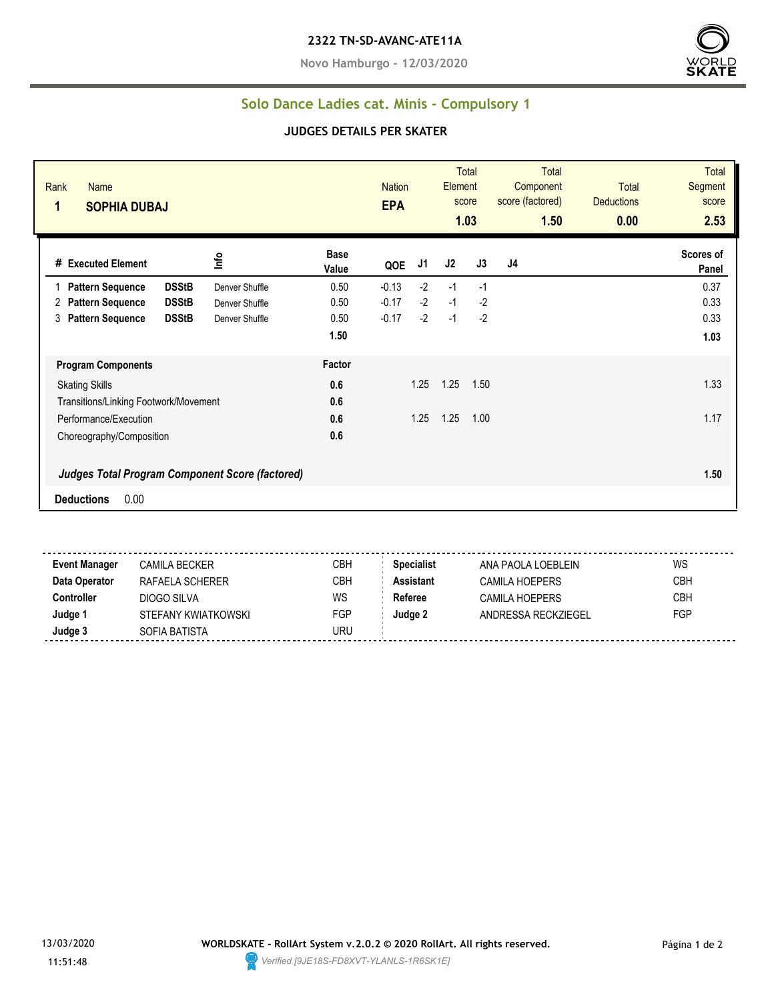**Novo Hamburgo - 12/03/2020**



## **Solo Dance Ladies cat. Minis - Compulsory 1**

## **JUDGES DETAILS PER SKATER**

| Rank<br><b>Name</b><br><b>SOPHIA DUBAJ</b><br>1 |                                                        |                      | <b>Nation</b><br><b>EPA</b> |      | Element | <b>Total</b><br>score<br>1.03 | <b>Total</b><br>Component<br>score (factored)<br>1.50 | <b>Total</b><br><b>Deductions</b><br>0.00 | <b>Total</b><br>Segment<br>score<br>2.53 |
|-------------------------------------------------|--------------------------------------------------------|----------------------|-----------------------------|------|---------|-------------------------------|-------------------------------------------------------|-------------------------------------------|------------------------------------------|
| # Executed Element                              | Info                                                   | <b>Base</b><br>Value | QOE                         | J1   | J2      | J3                            | J4                                                    |                                           | Scores of<br>Panel                       |
| <b>Pattern Sequence</b>                         | <b>DSStB</b><br>Denver Shuffle                         | 0.50                 | $-0.13$                     | $-2$ | $-1$    | $-1$                          |                                                       |                                           | 0.37                                     |
| <b>Pattern Sequence</b><br>2                    | <b>DSStB</b><br>Denver Shuffle                         | 0.50                 | $-0.17$                     | $-2$ | $-1$    | $-2$                          |                                                       |                                           | 0.33                                     |
| <b>Pattern Sequence</b><br>3                    | <b>DSStB</b><br>Denver Shuffle                         | 0.50                 | $-0.17$                     | $-2$ | $-1$    | $-2$                          |                                                       |                                           | 0.33                                     |
|                                                 |                                                        | 1.50                 |                             |      |         |                               |                                                       |                                           | 1.03                                     |
| <b>Program Components</b>                       |                                                        | Factor               |                             |      |         |                               |                                                       |                                           |                                          |
| <b>Skating Skills</b>                           |                                                        | 0.6                  |                             | 1.25 | 1.25    | 1.50                          |                                                       |                                           | 1.33                                     |
| Transitions/Linking Footwork/Movement           |                                                        | 0.6                  |                             |      |         |                               |                                                       |                                           |                                          |
| Performance/Execution                           |                                                        | 0.6                  |                             | 1.25 | 1.25    | 1.00                          |                                                       |                                           | 1.17                                     |
| Choreography/Composition                        |                                                        | 0.6                  |                             |      |         |                               |                                                       |                                           |                                          |
|                                                 | <b>Judges Total Program Component Score (factored)</b> |                      |                             |      |         |                               |                                                       |                                           | 1.50                                     |
| 0.00<br><b>Deductions</b>                       |                                                        |                      |                             |      |         |                               |                                                       |                                           |                                          |

**Event Manager** CAMILA BECKER CREA CBH **Specialist** ANA PAOLA LOEBLEIN WS **Data Operator** RAFAELA SCHERER CBH **Assistant** CAMILA HOEPERS CBH **Controller** DIOGO SILVA WS Referee CAMILA HOEPERS CBH **Judge 1** STEFANY KWIATKOWSKI FGP **Judge 2** ANDRESSA RECKZIEGEL FGP **Judge 3** SOFIA BATISTA SOFIA BATISTA